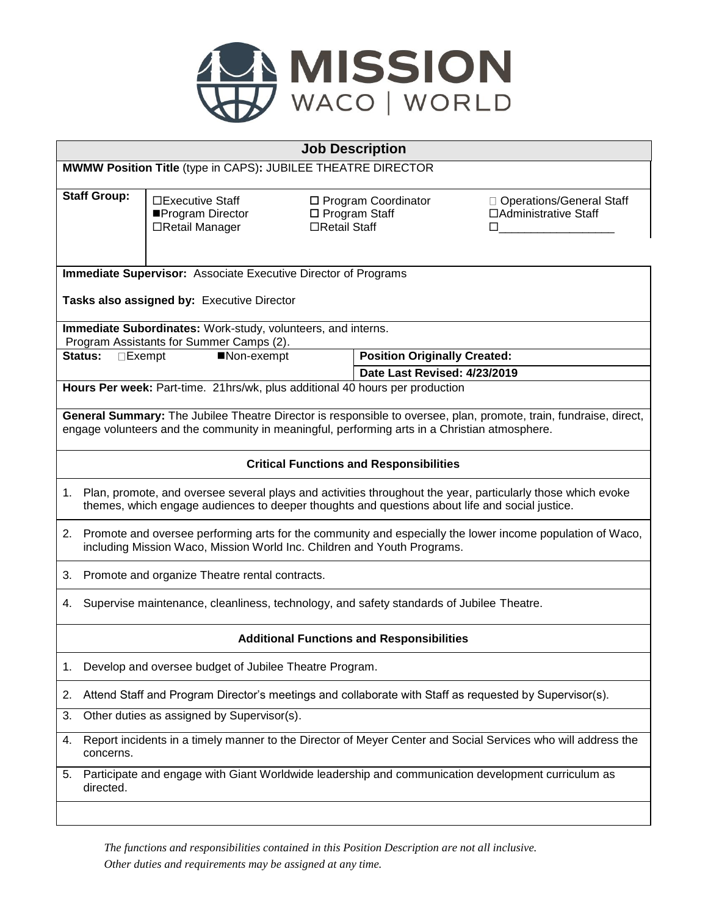

| <b>Job Description</b>                                                                                                                                                                                             |                                                                                                                                                                                                                  |                                                                   |               |                                                                     |                                                          |  |  |
|--------------------------------------------------------------------------------------------------------------------------------------------------------------------------------------------------------------------|------------------------------------------------------------------------------------------------------------------------------------------------------------------------------------------------------------------|-------------------------------------------------------------------|---------------|---------------------------------------------------------------------|----------------------------------------------------------|--|--|
| MWMW Position Title (type in CAPS): JUBILEE THEATRE DIRECTOR                                                                                                                                                       |                                                                                                                                                                                                                  |                                                                   |               |                                                                     |                                                          |  |  |
|                                                                                                                                                                                                                    | <b>Staff Group:</b>                                                                                                                                                                                              | $\square$ Executive Staff<br>■Program Director<br>□Retail Manager | □Retail Staff | □ Program Coordinator<br>$\Box$ Program Staff                       | □ Operations/General Staff<br>□Administrative Staff<br>п |  |  |
| <b>Immediate Supervisor:</b> Associate Executive Director of Programs                                                                                                                                              |                                                                                                                                                                                                                  |                                                                   |               |                                                                     |                                                          |  |  |
| Tasks also assigned by: Executive Director                                                                                                                                                                         |                                                                                                                                                                                                                  |                                                                   |               |                                                                     |                                                          |  |  |
| Immediate Subordinates: Work-study, volunteers, and interns.                                                                                                                                                       |                                                                                                                                                                                                                  |                                                                   |               |                                                                     |                                                          |  |  |
|                                                                                                                                                                                                                    |                                                                                                                                                                                                                  | Program Assistants for Summer Camps (2).                          |               |                                                                     |                                                          |  |  |
| <b>Status:</b><br>$\Box$ Exempt<br>■Non-exempt                                                                                                                                                                     |                                                                                                                                                                                                                  |                                                                   |               | <b>Position Originally Created:</b><br>Date Last Revised: 4/23/2019 |                                                          |  |  |
|                                                                                                                                                                                                                    | Hours Per week: Part-time. 21hrs/wk, plus additional 40 hours per production                                                                                                                                     |                                                                   |               |                                                                     |                                                          |  |  |
|                                                                                                                                                                                                                    |                                                                                                                                                                                                                  |                                                                   |               |                                                                     |                                                          |  |  |
| General Summary: The Jubilee Theatre Director is responsible to oversee, plan, promote, train, fundraise, direct,<br>engage volunteers and the community in meaningful, performing arts in a Christian atmosphere. |                                                                                                                                                                                                                  |                                                                   |               |                                                                     |                                                          |  |  |
| <b>Critical Functions and Responsibilities</b>                                                                                                                                                                     |                                                                                                                                                                                                                  |                                                                   |               |                                                                     |                                                          |  |  |
|                                                                                                                                                                                                                    | 1. Plan, promote, and oversee several plays and activities throughout the year, particularly those which evoke<br>themes, which engage audiences to deeper thoughts and questions about life and social justice. |                                                                   |               |                                                                     |                                                          |  |  |
| 2.                                                                                                                                                                                                                 | Promote and oversee performing arts for the community and especially the lower income population of Waco,<br>including Mission Waco, Mission World Inc. Children and Youth Programs.                             |                                                                   |               |                                                                     |                                                          |  |  |
| 3.                                                                                                                                                                                                                 | Promote and organize Theatre rental contracts.                                                                                                                                                                   |                                                                   |               |                                                                     |                                                          |  |  |
| 4.                                                                                                                                                                                                                 | Supervise maintenance, cleanliness, technology, and safety standards of Jubilee Theatre.                                                                                                                         |                                                                   |               |                                                                     |                                                          |  |  |
| <b>Additional Functions and Responsibilities</b>                                                                                                                                                                   |                                                                                                                                                                                                                  |                                                                   |               |                                                                     |                                                          |  |  |
| 1.                                                                                                                                                                                                                 | Develop and oversee budget of Jubilee Theatre Program.                                                                                                                                                           |                                                                   |               |                                                                     |                                                          |  |  |
| 2.                                                                                                                                                                                                                 | Attend Staff and Program Director's meetings and collaborate with Staff as requested by Supervisor(s).                                                                                                           |                                                                   |               |                                                                     |                                                          |  |  |
| 3.                                                                                                                                                                                                                 | Other duties as assigned by Supervisor(s).                                                                                                                                                                       |                                                                   |               |                                                                     |                                                          |  |  |
| 4.                                                                                                                                                                                                                 | Report incidents in a timely manner to the Director of Meyer Center and Social Services who will address the<br>concerns.                                                                                        |                                                                   |               |                                                                     |                                                          |  |  |
| 5.                                                                                                                                                                                                                 | Participate and engage with Giant Worldwide leadership and communication development curriculum as<br>directed.                                                                                                  |                                                                   |               |                                                                     |                                                          |  |  |
|                                                                                                                                                                                                                    |                                                                                                                                                                                                                  |                                                                   |               |                                                                     |                                                          |  |  |

*The functions and responsibilities contained in this Position Description are not all inclusive. Other duties and requirements may be assigned at any time.*